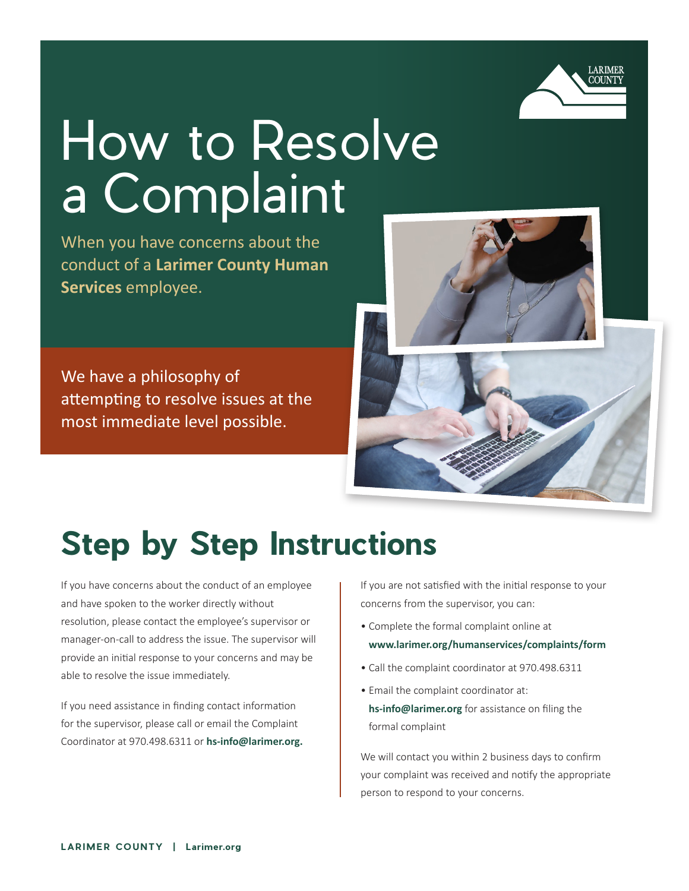

# How to Resolve a Complaint

When you have concerns about the conduct of a **Larimer County Human Services** employee.

We have a philosophy of attempting to resolve issues at the most immediate level possible.



## **Step by Step Instructions**

If you have concerns about the conduct of an employee and have spoken to the worker directly without resolution, please contact the employee's supervisor or manager-on-call to address the issue. The supervisor will provide an initial response to your concerns and may be able to resolve the issue immediately.

If you need assistance in finding contact information for the supervisor, please call or email the Complaint Coordinator at 970.498.6311 or **hs-info@larimer.org.**  If you are not satisfied with the initial response to your concerns from the supervisor, you can:

- Complete the formal complaint online at **www.larimer.org/humanservices/complaints/form**
- Call the complaint coordinator at 970.498.6311
- Email the complaint coordinator at: **hs-info@larimer.org** for assistance on filing the formal complaint

We will contact you within 2 business days to confirm your complaint was received and notify the appropriate person to respond to your concerns.